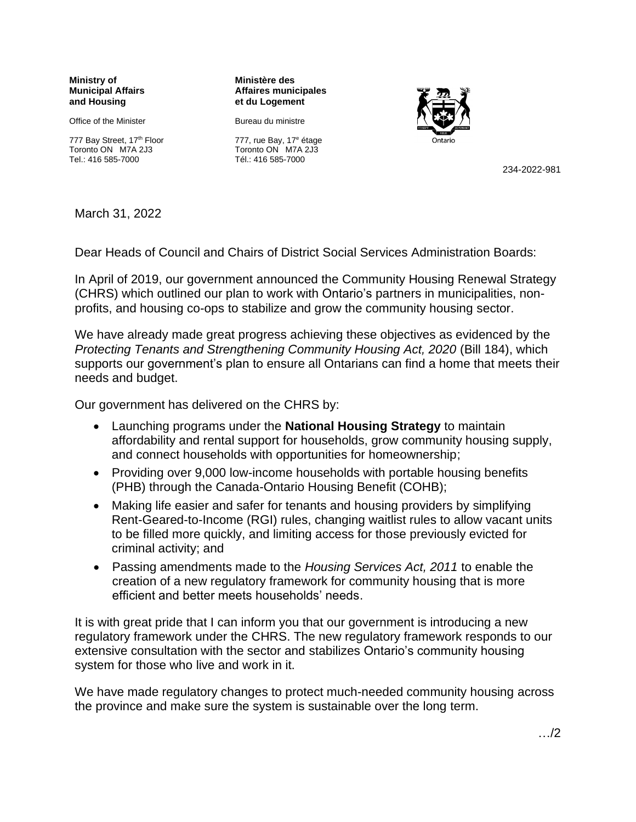**Ministry of Municipal Affairs and Housing**

Office of the Minister

777 Bay Street, 17th Floor Toronto ON M7A 2J3 Tel.: 416 585-7000

**Ministère des Affaires municipales et du Logement**

Bureau du ministre 777, rue Bay, 17<sup>e</sup> étage Toronto ON M7A 2J3 Tél.: 416 585-7000



234-2022-981

March 31, 2022

Dear Heads of Council and Chairs of District Social Services Administration Boards:

In April of 2019, our government announced the Community Housing Renewal Strategy (CHRS) which outlined our plan to work with Ontario's partners in municipalities, nonprofits, and housing co-ops to stabilize and grow the community housing sector.

We have already made great progress achieving these objectives as evidenced by the *Protecting Tenants and Strengthening Community Housing Act, 2020 (Bill 184), which* supports our government's plan to ensure all Ontarians can find a home that meets their needs and budget.

Our government has delivered on the CHRS by:

- Launching programs under the **National Housing Strategy** to maintain affordability and rental support for households, grow community housing supply, and connect households with opportunities for homeownership;
- Providing over 9,000 low-income households with portable housing benefits (PHB) through the Canada-Ontario Housing Benefit (COHB);
- Making life easier and safer for tenants and housing providers by simplifying Rent-Geared-to-Income (RGI) rules, changing waitlist rules to allow vacant units to be filled more quickly, and limiting access for those previously evicted for criminal activity; and
- Passing amendments made to the *Housing Services Act, 2011* to enable the creation of a new regulatory framework for community housing that is more efficient and better meets households' needs.

It is with great pride that I can inform you that our government is introducing a new regulatory framework under the CHRS. The new regulatory framework responds to our extensive consultation with the sector and stabilizes Ontario's community housing system for those who live and work in it.

We have made regulatory changes to protect much-needed community housing across the province and make sure the system is sustainable over the long term.